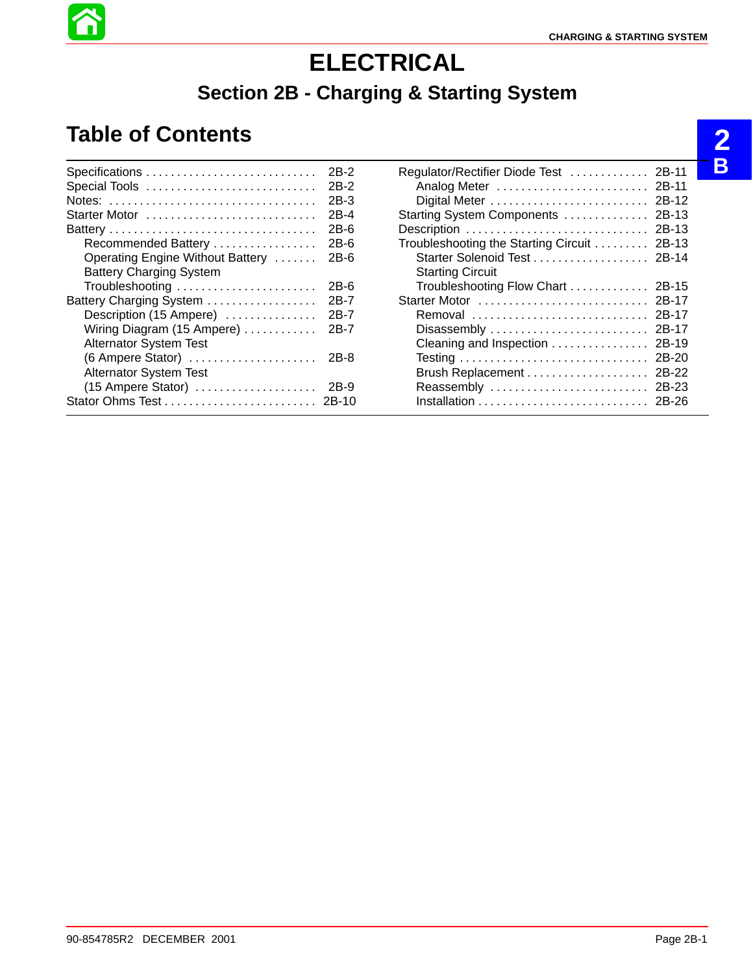**2**

**B**

# **ELECTRICAL**

# **Section 2B - Charging & Starting System**

# **Table of Contents**

|                                                          | 2B-2   |
|----------------------------------------------------------|--------|
| Special Tools                                            | 2B-2   |
| Notes:                                                   | $2B-3$ |
| Starter Motor                                            | 2B-4   |
|                                                          | $2B-6$ |
| Recommended Battery                                      | 2B-6   |
| Operating Engine Without Battery                         | $2B-6$ |
| <b>Battery Charging System</b>                           |        |
| Troubleshooting                                          | $2B-6$ |
| Battery Charging System                                  | 2B-7   |
| Description (15 Ampere)                                  | 2B-7   |
| Wiring Diagram (15 Ampere)                               | 2B-7   |
| <b>Alternator System Test</b>                            |        |
| $(6$ Ampere Stator) $\ldots \ldots \ldots \ldots \ldots$ | 2B-8   |
| <b>Alternator System Test</b>                            |        |
| (15 Ampere Stator)                                       | 2B-9   |
|                                                          |        |

| Regulator/Rectifier Diode Test       | 2B-11   |
|--------------------------------------|---------|
| Analog Meter                         | 2B-11   |
| Digital Meter                        | 2B-12   |
| Starting System Components           | 2B-13   |
| Description                          | $2B-13$ |
| Troubleshooting the Starting Circuit | 2B-13   |
|                                      | $2B-14$ |
| <b>Starting Circuit</b>              |         |
| Troubleshooting Flow Chart           | 2B-15   |
| Starter Motor                        | 2B-17   |
| Removal                              | 2B-17   |
| Disassembly                          | 2B-17   |
| Cleaning and Inspection              | $2B-19$ |
|                                      | 2B-20   |
|                                      | 2B-22   |
| Reassembly                           | 2B-23   |
|                                      | $2B-26$ |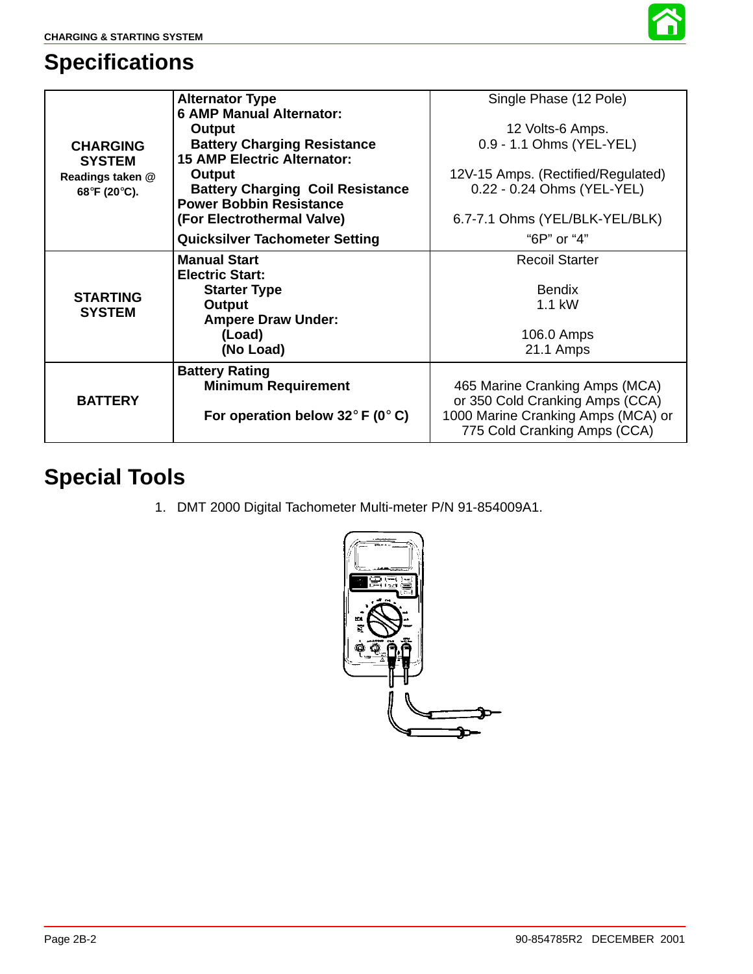

# **Specifications**

|                                                   | <b>Alternator Type</b>                             | Single Phase (12 Pole)             |
|---------------------------------------------------|----------------------------------------------------|------------------------------------|
|                                                   | <b>6 AMP Manual Alternator:</b>                    |                                    |
|                                                   | Output                                             | 12 Volts-6 Amps.                   |
| <b>CHARGING</b>                                   | <b>Battery Charging Resistance</b>                 | 0.9 - 1.1 Ohms (YEL-YEL)           |
| <b>SYSTEM</b><br>Readings taken @<br>68°F (20°C). | <b>15 AMP Electric Alternator:</b>                 |                                    |
|                                                   | Output                                             | 12V-15 Amps. (Rectified/Regulated) |
|                                                   | <b>Battery Charging Coil Resistance</b>            | 0.22 - 0.24 Ohms (YEL-YEL)         |
|                                                   | <b>Power Bobbin Resistance</b>                     |                                    |
|                                                   | (For Electrothermal Valve)                         | 6.7-7.1 Ohms (YEL/BLK-YEL/BLK)     |
|                                                   | <b>Quicksilver Tachometer Setting</b>              | "6P" or "4"                        |
| <b>STARTING</b><br><b>SYSTEM</b>                  | <b>Manual Start</b>                                | <b>Recoil Starter</b>              |
|                                                   | <b>Electric Start:</b>                             |                                    |
|                                                   | <b>Starter Type</b>                                | <b>Bendix</b>                      |
|                                                   | Output                                             | $1.1$ kW                           |
|                                                   | <b>Ampere Draw Under:</b>                          |                                    |
|                                                   | (Load)                                             | 106.0 Amps                         |
|                                                   | (No Load)                                          | 21.1 Amps                          |
|                                                   | <b>Battery Rating</b>                              |                                    |
| <b>BATTERY</b>                                    | <b>Minimum Requirement</b>                         | 465 Marine Cranking Amps (MCA)     |
|                                                   |                                                    | or 350 Cold Cranking Amps (CCA)    |
|                                                   | For operation below 32 $\degree$ F (0 $\degree$ C) | 1000 Marine Cranking Amps (MCA) or |
|                                                   |                                                    | 775 Cold Cranking Amps (CCA)       |

# **Special Tools**

1. DMT 2000 Digital Tachometer Multi-meter P/N 91-854009A1.

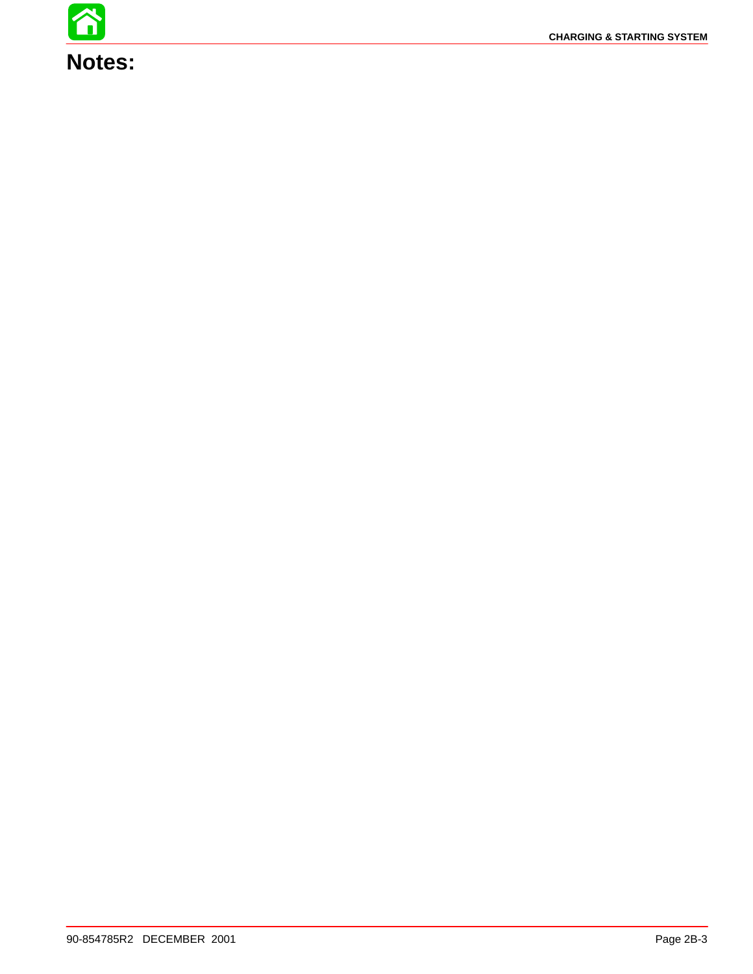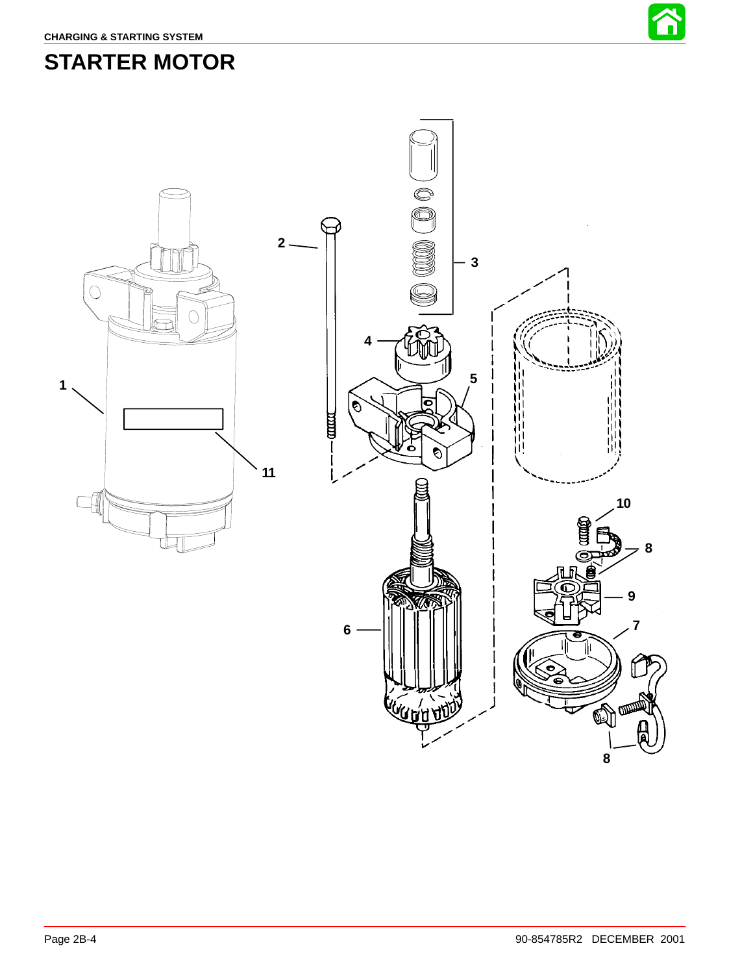# <span id="page-3-0"></span>**STARTER MOTOR**



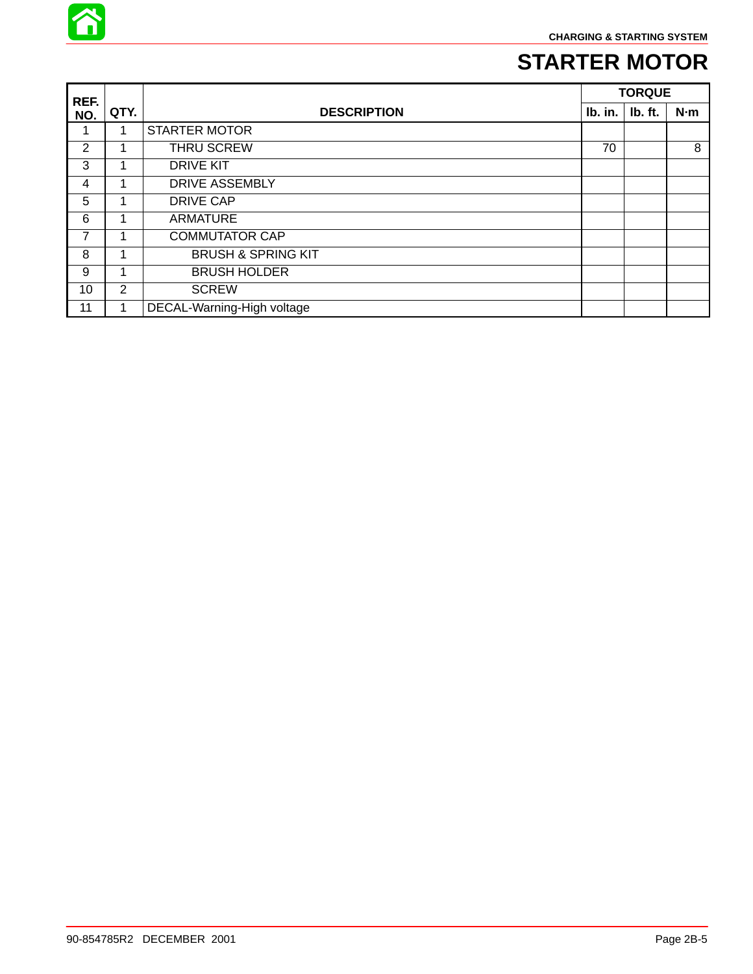

# **STARTER MOTOR**

| REF.           |                |                               | <b>TORQUE</b> |         |     |
|----------------|----------------|-------------------------------|---------------|---------|-----|
| NO.            | QTY.           | <b>DESCRIPTION</b>            | Ib. in.       | Ib. ft. | N·m |
|                | 1              | <b>STARTER MOTOR</b>          |               |         |     |
| $\overline{2}$ | 1              | THRU SCREW                    | 70            |         | 8   |
| 3              | 1              | <b>DRIVE KIT</b>              |               |         |     |
| 4              | 1              | <b>DRIVE ASSEMBLY</b>         |               |         |     |
| 5              | 1              | <b>DRIVE CAP</b>              |               |         |     |
| 6              | 1              | <b>ARMATURE</b>               |               |         |     |
| 7              | 1              | <b>COMMUTATOR CAP</b>         |               |         |     |
| 8              | 1              | <b>BRUSH &amp; SPRING KIT</b> |               |         |     |
| 9              | 1              | <b>BRUSH HOLDER</b>           |               |         |     |
| 10             | $\overline{2}$ | <b>SCREW</b>                  |               |         |     |
| 11             | 1              | DECAL-Warning-High voltage    |               |         |     |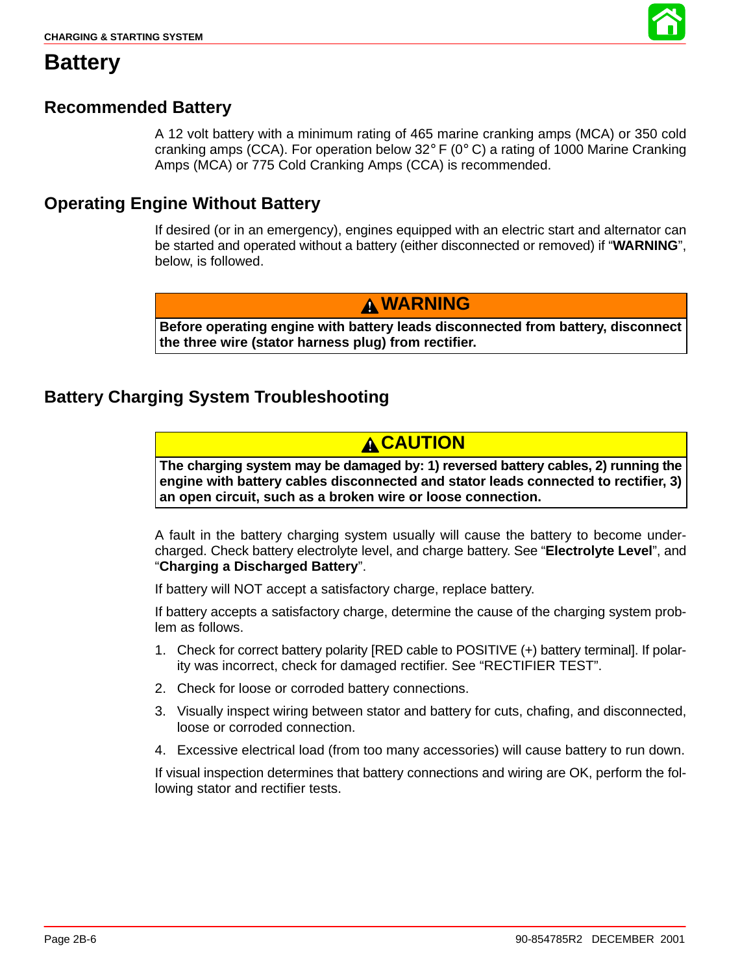

# **Battery**

## **Recommended Battery**

A 12 volt battery with a minimum rating of 465 marine cranking amps (MCA) or 350 cold cranking amps (CCA). For operation below 32 $\degree$  F (0 $\degree$  C) a rating of 1000 Marine Cranking Amps (MCA) or 775 Cold Cranking Amps (CCA) is recommended.

## **Operating Engine Without Battery**

If desired (or in an emergency), engines equipped with an electric start and alternator can be started and operated without a battery (either disconnected or removed) if "**WARNING**", below, is followed.

## **WARNING**

**Before operating engine with battery leads disconnected from battery, disconnect the three wire (stator harness plug) from rectifier.**

## **Battery Charging System Troubleshooting**

## **A CAUTION**

**The charging system may be damaged by: 1) reversed battery cables, 2) running the engine with battery cables disconnected and stator leads connected to rectifier, 3) an open circuit, such as a broken wire or loose connection.**

A fault in the battery charging system usually will cause the battery to become undercharged. Check battery electrolyte level, and charge battery. See "**Electrolyte Level**", and "**Charging a Discharged Battery**".

If battery will NOT accept a satisfactory charge, replace battery.

If battery accepts a satisfactory charge, determine the cause of the charging system problem as follows.

- 1. Check for correct battery polarity [RED cable to POSITIVE (+) battery terminal]. If polarity was incorrect, check for damaged rectifier. See "RECTIFIER TEST".
- 2. Check for loose or corroded battery connections.
- 3. Visually inspect wiring between stator and battery for cuts, chafing, and disconnected, loose or corroded connection.
- 4. Excessive electrical load (from too many accessories) will cause battery to run down.

If visual inspection determines that battery connections and wiring are OK, perform the following stator and rectifier tests.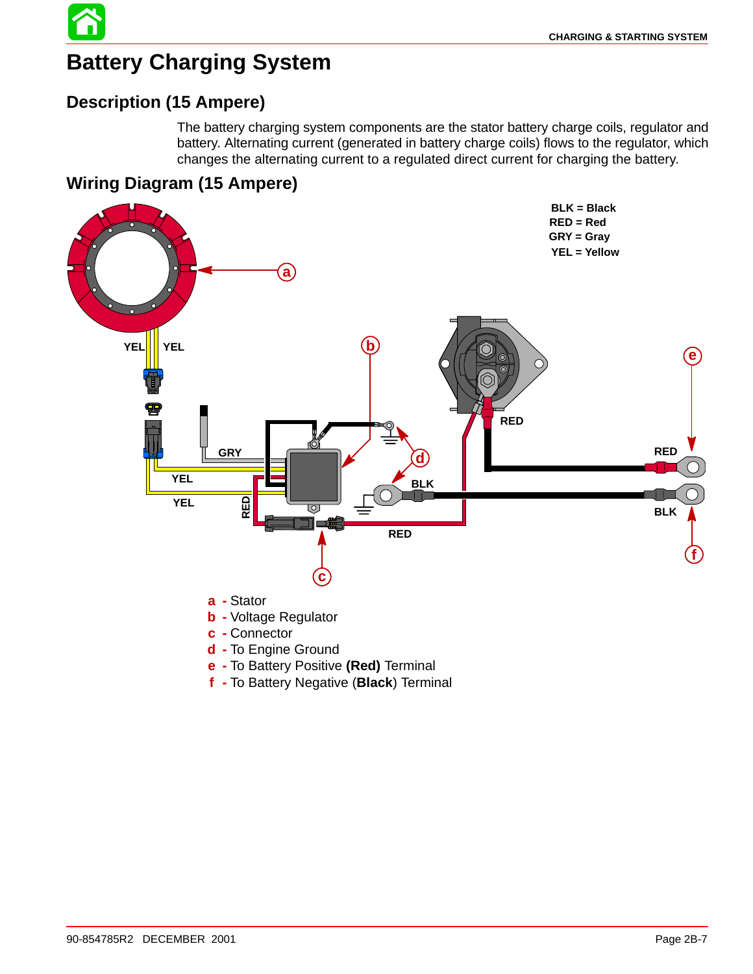# **Battery Charging System**

## **Description (15 Ampere)**

The battery charging system components are the stator battery charge coils, regulator and battery. Alternating current (generated in battery charge coils) flows to the regulator, which changes the alternating current to a regulated direct current for charging the battery.

## **Wiring Diagram (15 Ampere)**



- **e -** To Battery Positive **(Red)** Terminal
- **f -** To Battery Negative (**Black**) Terminal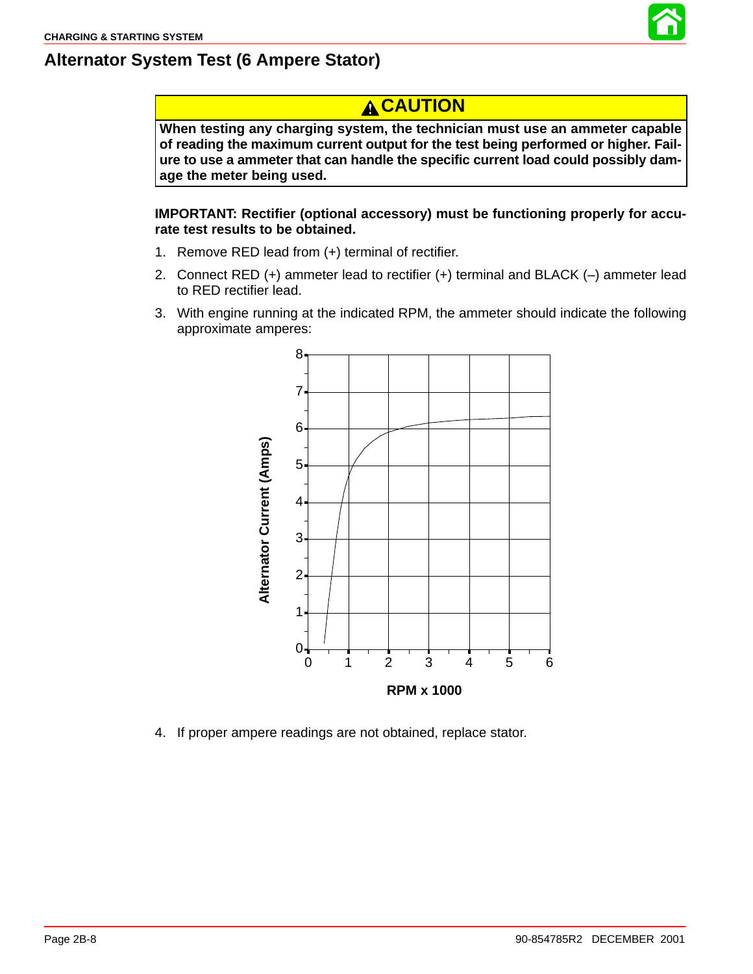

## **Alternator System Test (6 Ampere Stator)**

# **A CAUTION**

**When testing any charging system, the technician must use an ammeter capable of reading the maximum current output for the test being performed or higher. Failure to use a ammeter that can handle the specific current load could possibly damage the meter being used.**

**IMPORTANT: Rectifier (optional accessory) must be functioning properly for accurate test results to be obtained.**

- 1. Remove RED lead from (+) terminal of rectifier.
- 2. Connect RED (+) ammeter lead to rectifier (+) terminal and BLACK (–) ammeter lead to RED rectifier lead.
- 3. With engine running at the indicated RPM, the ammeter should indicate the following approximate amperes:



4. If proper ampere readings are not obtained, replace stator.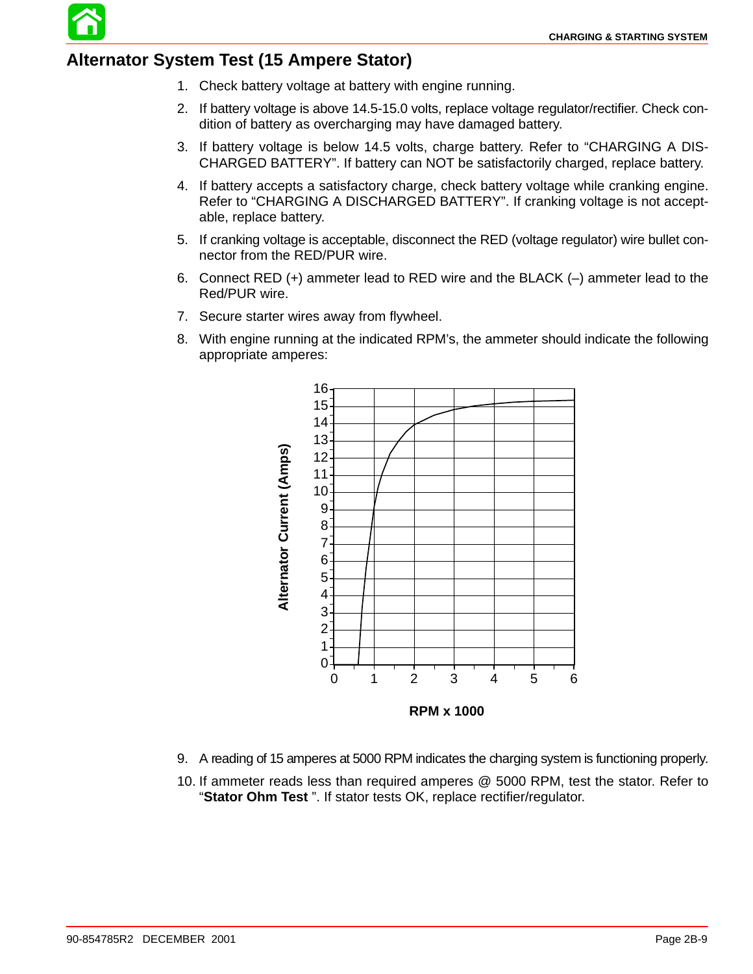

- 1. Check battery voltage at battery with engine running.
- 2. If battery voltage is above 14.5-15.0 volts, replace voltage regulator/rectifier. Check condition of battery as overcharging may have damaged battery.
- 3. If battery voltage is below 14.5 volts, charge battery. Refer to "CHARGING A DIS-CHARGED BATTERY". If battery can NOT be satisfactorily charged, replace battery.
- 4. If battery accepts a satisfactory charge, check battery voltage while cranking engine. Refer to "CHARGING A DISCHARGED BATTERY". If cranking voltage is not acceptable, replace battery.
- 5. If cranking voltage is acceptable, disconnect the RED (voltage regulator) wire bullet connector from the RED/PUR wire.
- 6. Connect RED (+) ammeter lead to RED wire and the BLACK (–) ammeter lead to the Red/PUR wire.
- 7. Secure starter wires away from flywheel.
- 8. With engine running at the indicated RPM's, the ammeter should indicate the following appropriate amperes:



- 9. A reading of 15 amperes at 5000 RPM indicates the charging system is functioning properly.
- 10. If ammeter reads less than required amperes @ 5000 RPM, test the stator. Refer to "**Stator Ohm Test** ". If stator tests OK, replace rectifier/regulator.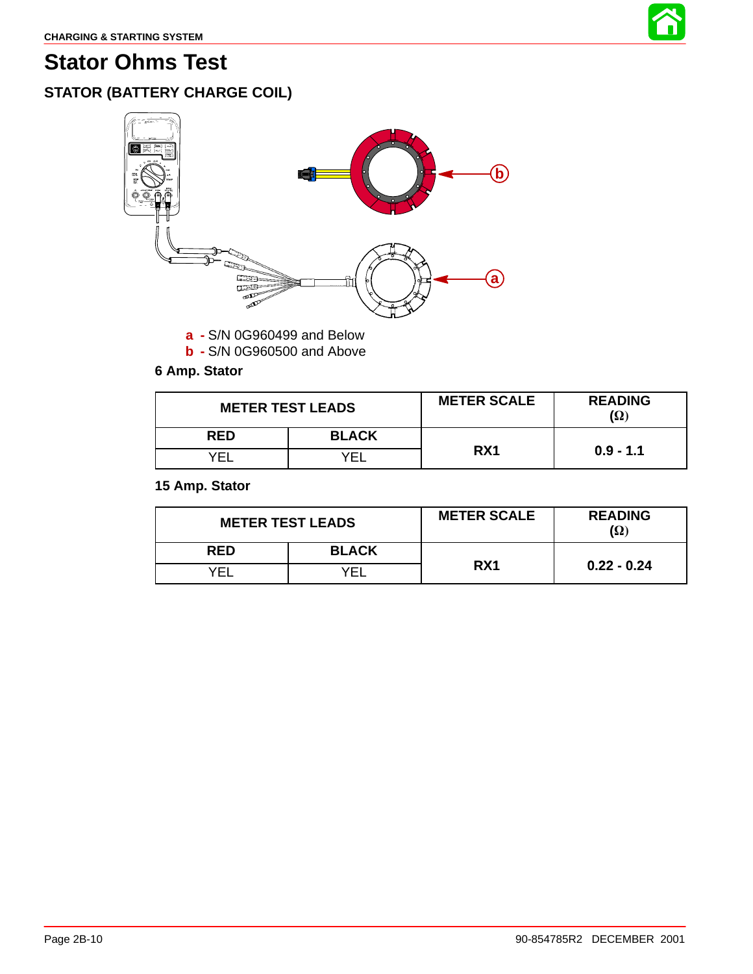

# **Stator Ohms Test**

# **STATOR (BATTERY CHARGE COIL)**



**a -** S/N 0G960499 and Below

**b -** S/N 0G960500 and Above

### **6 Amp. Stator**

| <b>METER TEST LEADS</b> |              | <b>METER SCALE</b> | <b>READING</b><br>$(\Omega)$ |
|-------------------------|--------------|--------------------|------------------------------|
| <b>RED</b>              | <b>BLACK</b> |                    |                              |
| VF.                     | ΈI           | RX1                | $0.9 - 1.1$                  |

### **15 Amp. Stator**

| <b>METER TEST LEADS</b> |              | <b>METER SCALE</b> | <b>READING</b><br>$(\Omega)$ |
|-------------------------|--------------|--------------------|------------------------------|
| <b>RED</b>              | <b>BLACK</b> |                    |                              |
| √F'                     |              | RX1                | $0.22 - 0.24$                |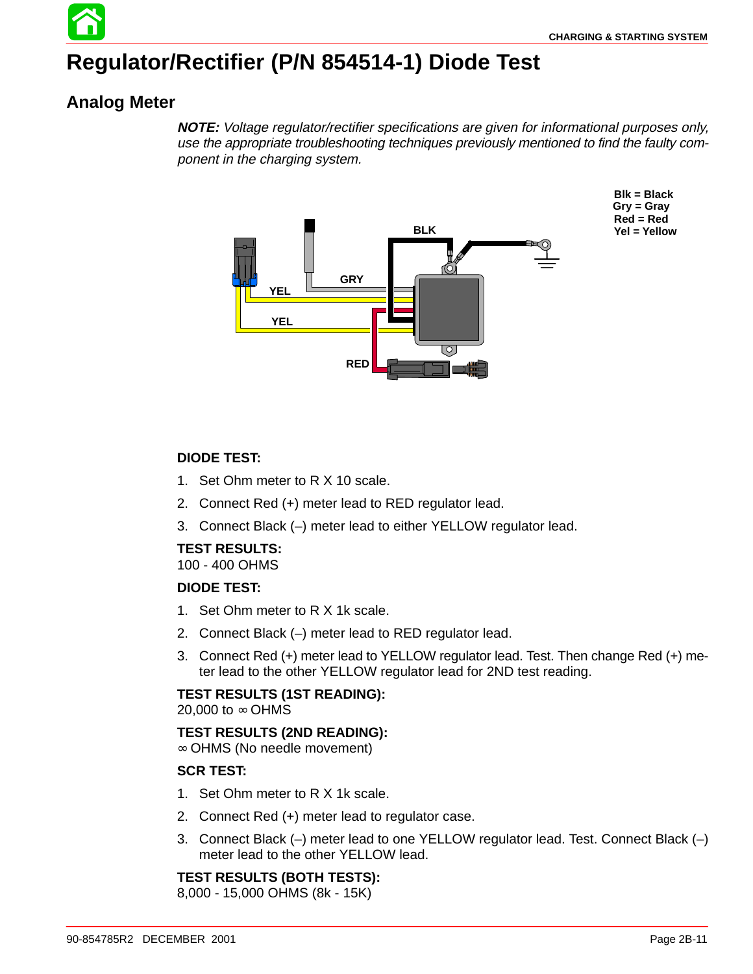# **Regulator/Rectifier (P/N 854514-1) Diode Test**

## **Analog Meter**

**NOTE:** Voltage regulator/rectifier specifications are given for informational purposes only, use the appropriate troubleshooting techniques previously mentioned to find the faulty component in the charging system.



**Blk = Black Gry = Gray Red = Red Yel = Yellow**

### **DIODE TEST:**

- 1. Set Ohm meter to R X 10 scale.
- 2. Connect Red (+) meter lead to RED regulator lead.
- 3. Connect Black (–) meter lead to either YELLOW regulator lead.

### **TEST RESULTS:**

100 - 400 OHMS

#### **DIODE TEST:**

- 1. Set Ohm meter to R X 1k scale.
- 2. Connect Black (–) meter lead to RED regulator lead.
- 3. Connect Red (+) meter lead to YELLOW regulator lead. Test. Then change Red (+) meter lead to the other YELLOW regulator lead for 2ND test reading.

### **TEST RESULTS (1ST READING):**

20,000 to ∞ OHMS

### **TEST RESULTS (2ND READING):**

∞ OHMS (No needle movement)

### **SCR TEST:**

- 1. Set Ohm meter to R X 1k scale.
- 2. Connect Red (+) meter lead to regulator case.
- 3. Connect Black (–) meter lead to one YELLOW regulator lead. Test. Connect Black (–) meter lead to the other YELLOW lead.

## **TEST RESULTS (BOTH TESTS):**

8,000 - 15,000 OHMS (8k - 15K)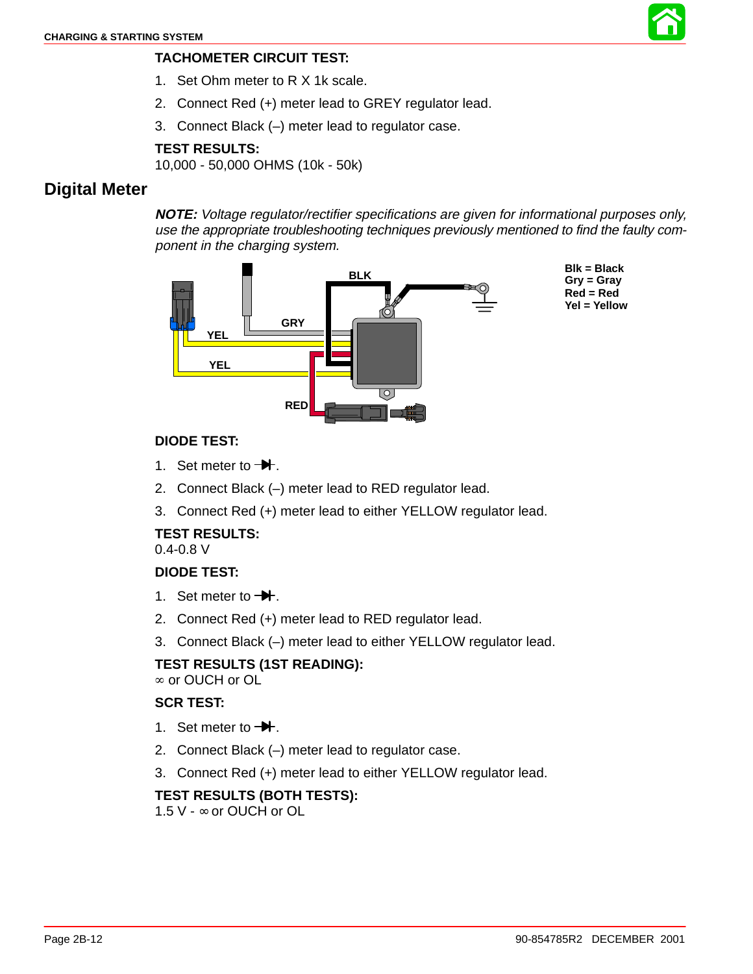

- 1. Set Ohm meter to R X 1k scale.
- 2. Connect Red (+) meter lead to GREY regulator lead.
- 3. Connect Black (–) meter lead to regulator case.

### **TEST RESULTS:**

10,000 - 50,000 OHMS (10k - 50k)

### **Digital Meter**

**NOTE:** Voltage regulator/rectifier specifications are given for informational purposes only, use the appropriate troubleshooting techniques previously mentioned to find the faulty component in the charging system.



#### **DIODE TEST:**

- 1. Set meter to  $-\blacktriangleright$ .
- 2. Connect Black (–) meter lead to RED regulator lead.
- 3. Connect Red (+) meter lead to either YELLOW regulator lead.

### **TEST RESULTS:**

0.4-0.8 V

### **DIODE TEST:**

- 1. Set meter to  $-\blacktriangleright$ .
- 2. Connect Red (+) meter lead to RED regulator lead.
- 3. Connect Black (–) meter lead to either YELLOW regulator lead.

#### **TEST RESULTS (1ST READING):**

∞ or OUCH or OL

#### **SCR TEST:**

- 1. Set meter to  $\rightarrow$ .
- 2. Connect Black (–) meter lead to regulator case.
- 3. Connect Red (+) meter lead to either YELLOW regulator lead.

### **TEST RESULTS (BOTH TESTS):**

1.5 V - ∞ or OUCH or OL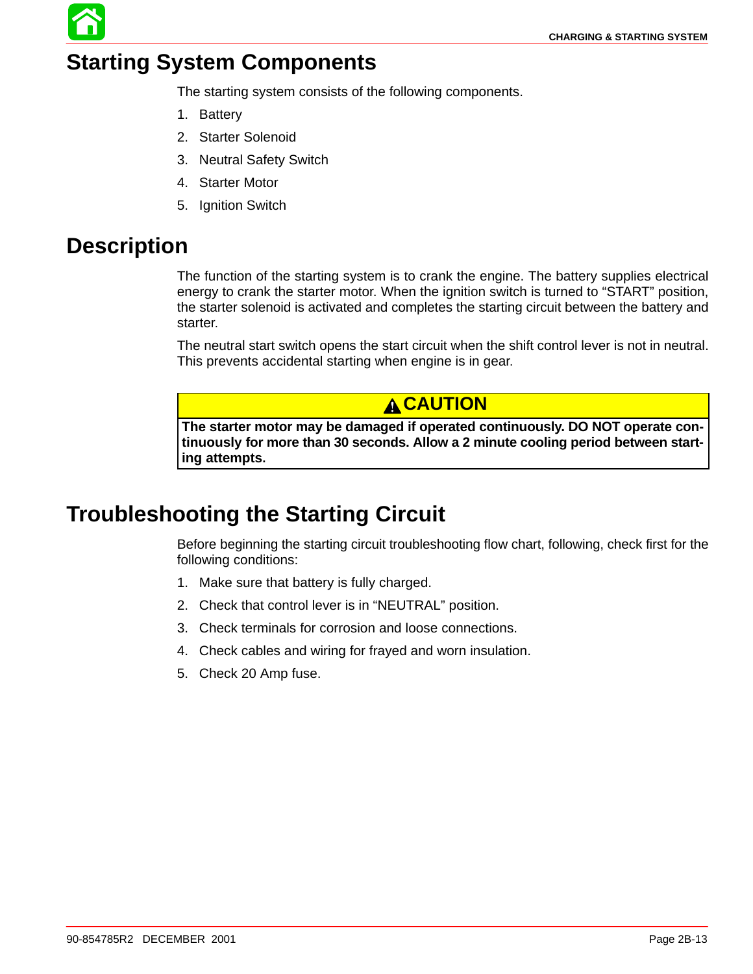# **Starting System Components**

The starting system consists of the following components.

- 1. Battery
- 2. Starter Solenoid
- 3. Neutral Safety Switch
- 4. Starter Motor
- 5. Ignition Switch

# **Description**

The function of the starting system is to crank the engine. The battery supplies electrical energy to crank the starter motor. When the ignition switch is turned to "START" position, the starter solenoid is activated and completes the starting circuit between the battery and starter.

The neutral start switch opens the start circuit when the shift control lever is not in neutral. This prevents accidental starting when engine is in gear.

**A CAUTION** 

**The starter motor may be damaged if operated continuously. DO NOT operate continuously for more than 30 seconds. Allow a 2 minute cooling period between starting attempts.**

# **Troubleshooting the Starting Circuit**

Before beginning the starting circuit troubleshooting flow chart, following, check first for the following conditions:

- 1. Make sure that battery is fully charged.
- 2. Check that control lever is in "NEUTRAL" position.
- 3. Check terminals for corrosion and loose connections.
- 4. Check cables and wiring for frayed and worn insulation.
- 5. Check 20 Amp fuse.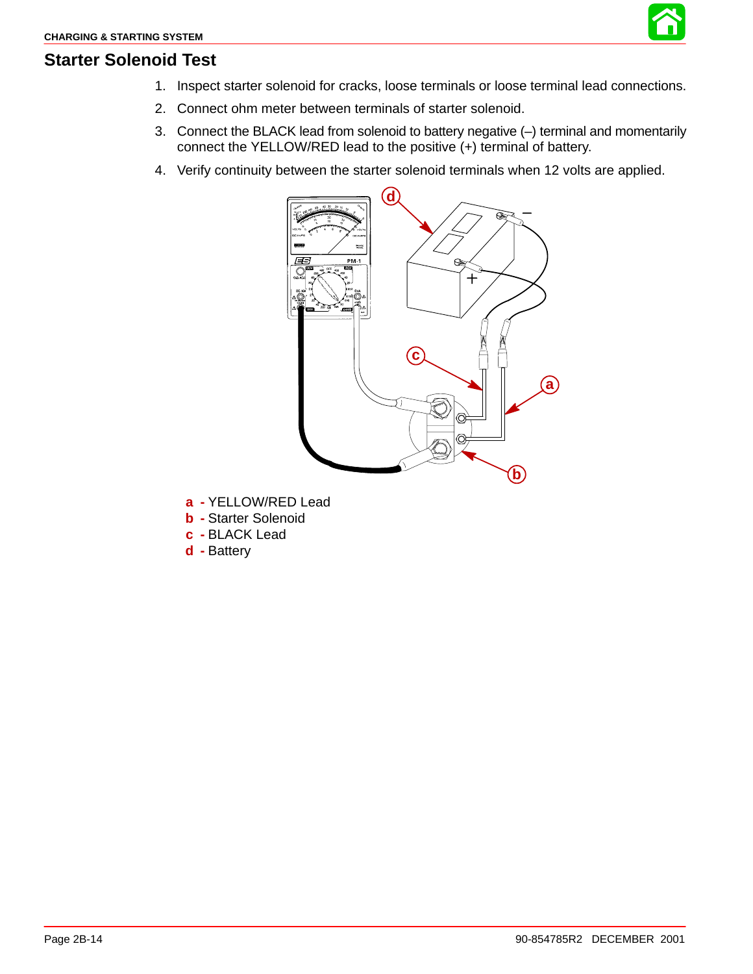

### **Starter Solenoid Test**

- 1. Inspect starter solenoid for cracks, loose terminals or loose terminal lead connections.
- 2. Connect ohm meter between terminals of starter solenoid.
- 3. Connect the BLACK lead from solenoid to battery negative (–) terminal and momentarily connect the YELLOW/RED lead to the positive (+) terminal of battery.
- 4. Verify continuity between the starter solenoid terminals when 12 volts are applied.



- **a -** YELLOW/RED Lead
- **b -** Starter Solenoid
- **c -** BLACK Lead
- **d -** Battery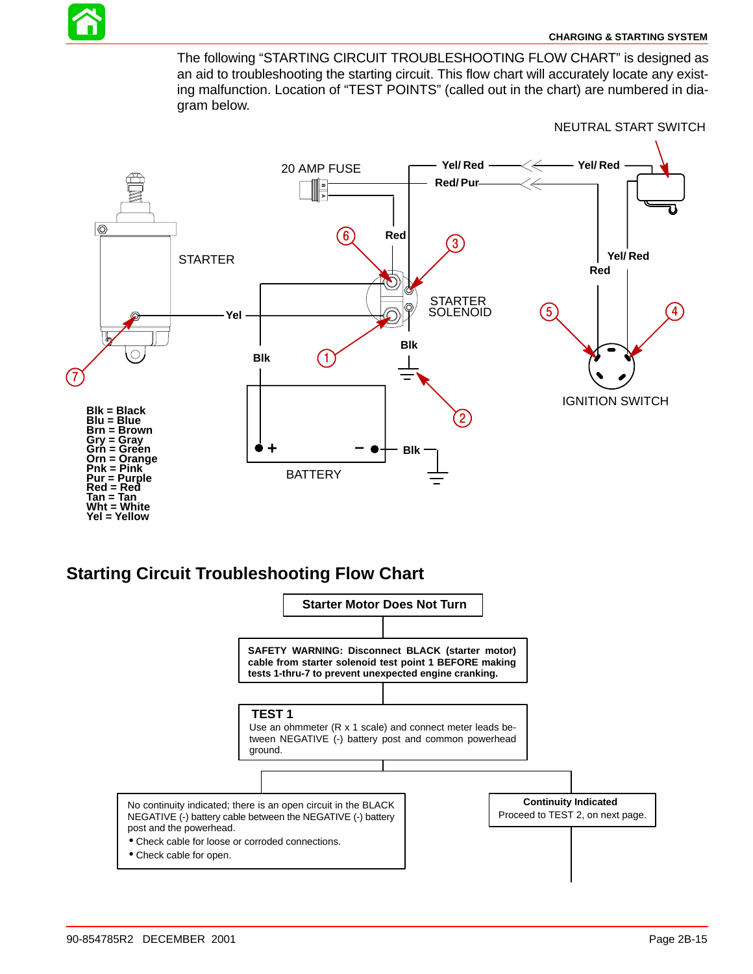

#### **[CHARGING & STARTING SYSTEM](#page-3-0)**

The following "STARTING CIRCUIT TROUBLESHOOTING FLOW CHART" is designed as an aid to troubleshooting the starting circuit. This flow chart will accurately locate any existing malfunction. Location of "TEST POINTS" (called out in the chart) are numbered in diagram below.



## **Starting Circuit Troubleshooting Flow Chart**

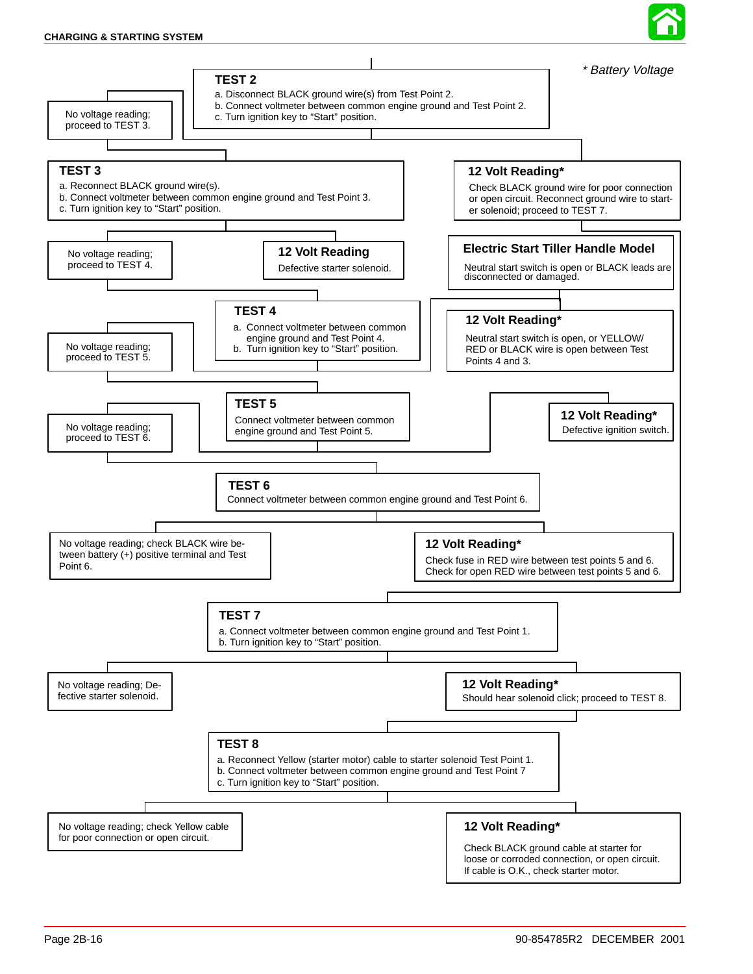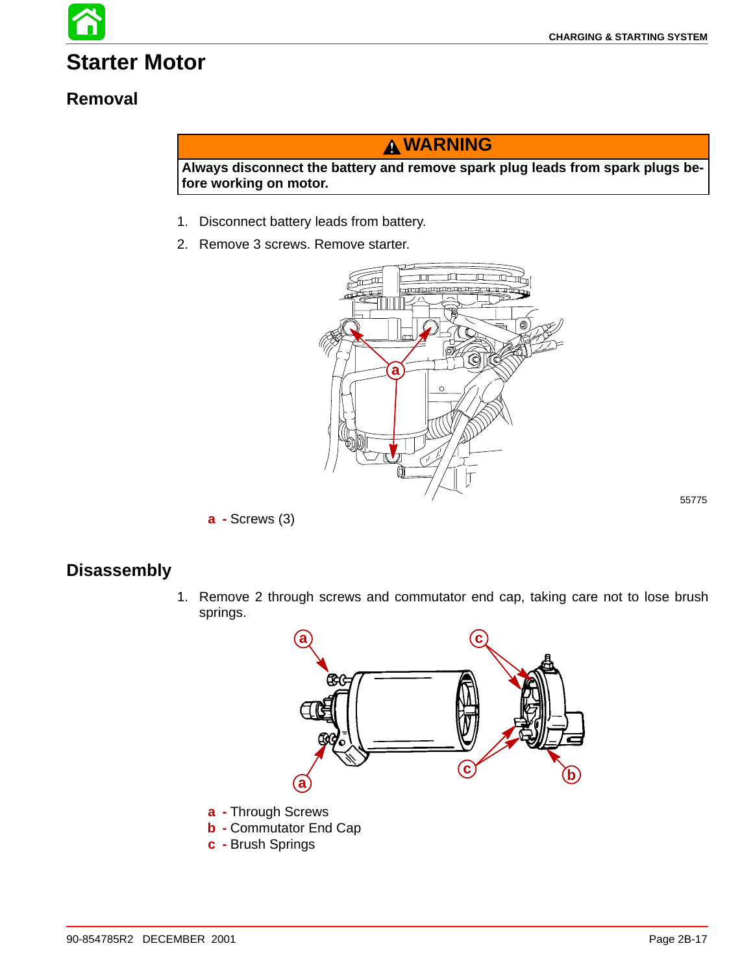# **Starter Motor**

## **Removal**

# **WARNING**

**Always disconnect the battery and remove spark plug leads from spark plugs before working on motor.**

- 1. Disconnect battery leads from battery.
- 2. Remove 3 screws. Remove starter.



**a -** Screws (3)

## **Disassembly**

1. Remove 2 through screws and commutator end cap, taking care not to lose brush springs.



- **b -** Commutator End Cap
- **c -** Brush Springs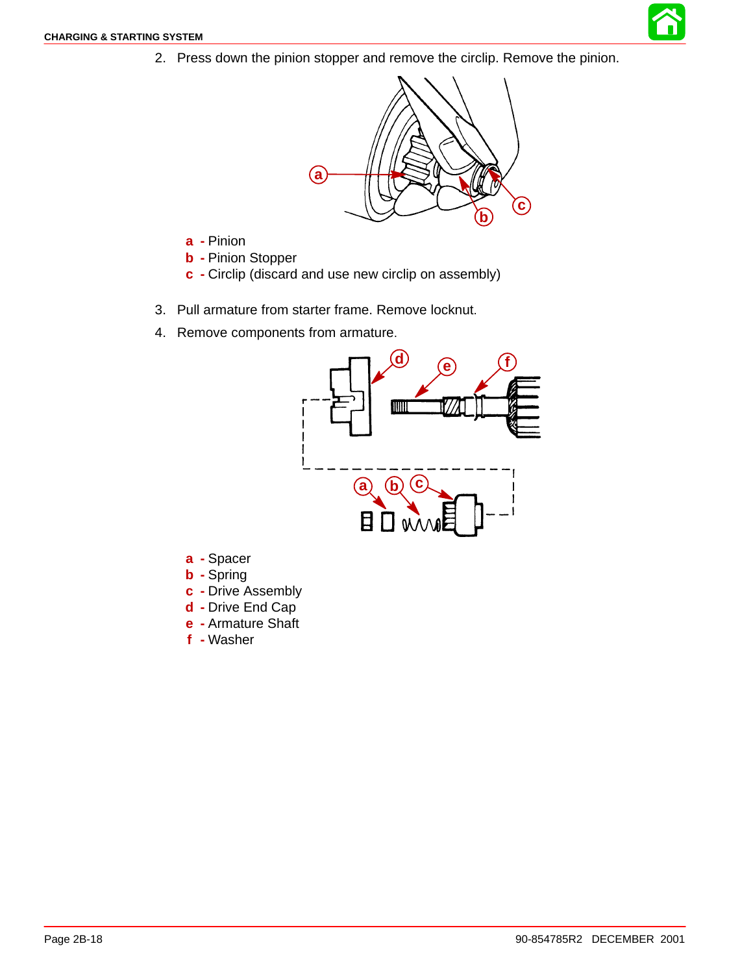2. Press down the pinion stopper and remove the circlip. Remove the pinion.



- **a -** Pinion
- **b -** Pinion Stopper
- **c -** Circlip (discard and use new circlip on assembly)
- 3. Pull armature from starter frame. Remove locknut.
- 4. Remove components from armature.



- **a -** Spacer
- **b -** Spring
- **c -** Drive Assembly
- **d -** Drive End Cap
- **e -** Armature Shaft
- **f -** Washer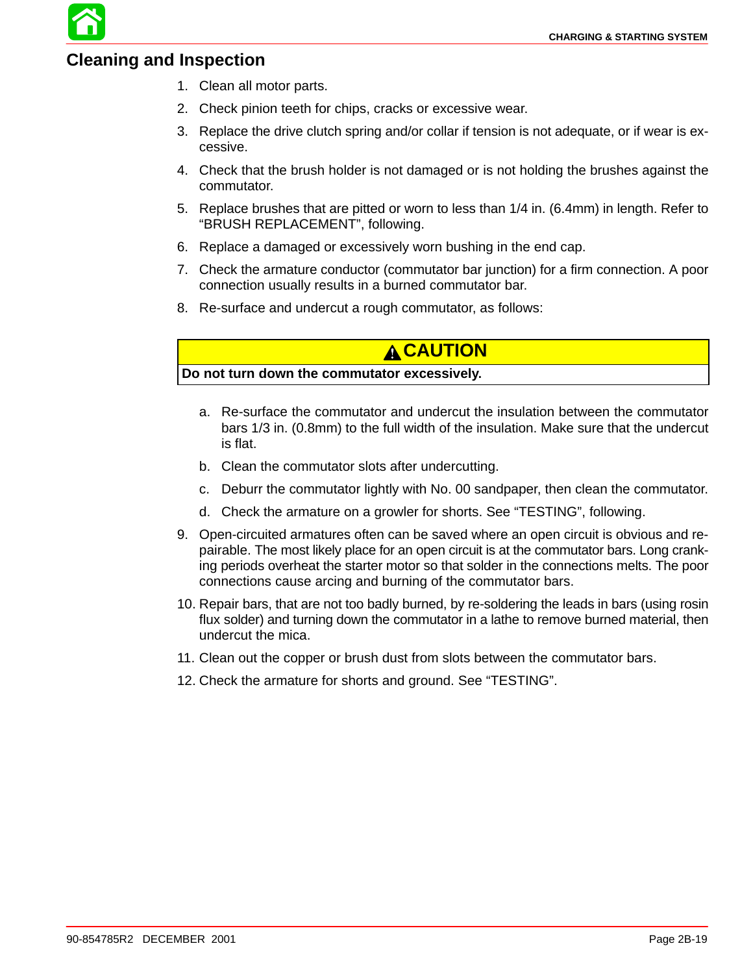### **Cleaning and Inspection**

- 1. Clean all motor parts.
- 2. Check pinion teeth for chips, cracks or excessive wear.
- 3. Replace the drive clutch spring and/or collar if tension is not adequate, or if wear is excessive.
- 4. Check that the brush holder is not damaged or is not holding the brushes against the commutator.
- 5. Replace brushes that are pitted or worn to less than 1/4 in. (6.4mm) in length. Refer to "BRUSH REPLACEMENT", following.
- 6. Replace a damaged or excessively worn bushing in the end cap.
- 7. Check the armature conductor (commutator bar junction) for a firm connection. A poor connection usually results in a burned commutator bar.
- 8. Re-surface and undercut a rough commutator, as follows:

## **CAUTION**

**Do not turn down the commutator excessively.**

- a. Re-surface the commutator and undercut the insulation between the commutator bars 1/3 in. (0.8mm) to the full width of the insulation. Make sure that the undercut is flat.
- b. Clean the commutator slots after undercutting.
- c. Deburr the commutator lightly with No. 00 sandpaper, then clean the commutator.
- d. Check the armature on a growler for shorts. See "TESTING", following.
- 9. Open-circuited armatures often can be saved where an open circuit is obvious and repairable. The most likely place for an open circuit is at the commutator bars. Long cranking periods overheat the starter motor so that solder in the connections melts. The poor connections cause arcing and burning of the commutator bars.
- 10. Repair bars, that are not too badly burned, by re-soldering the leads in bars (using rosin flux solder) and turning down the commutator in a lathe to remove burned material, then undercut the mica.
- 11. Clean out the copper or brush dust from slots between the commutator bars.
- 12. Check the armature for shorts and ground. See "TESTING".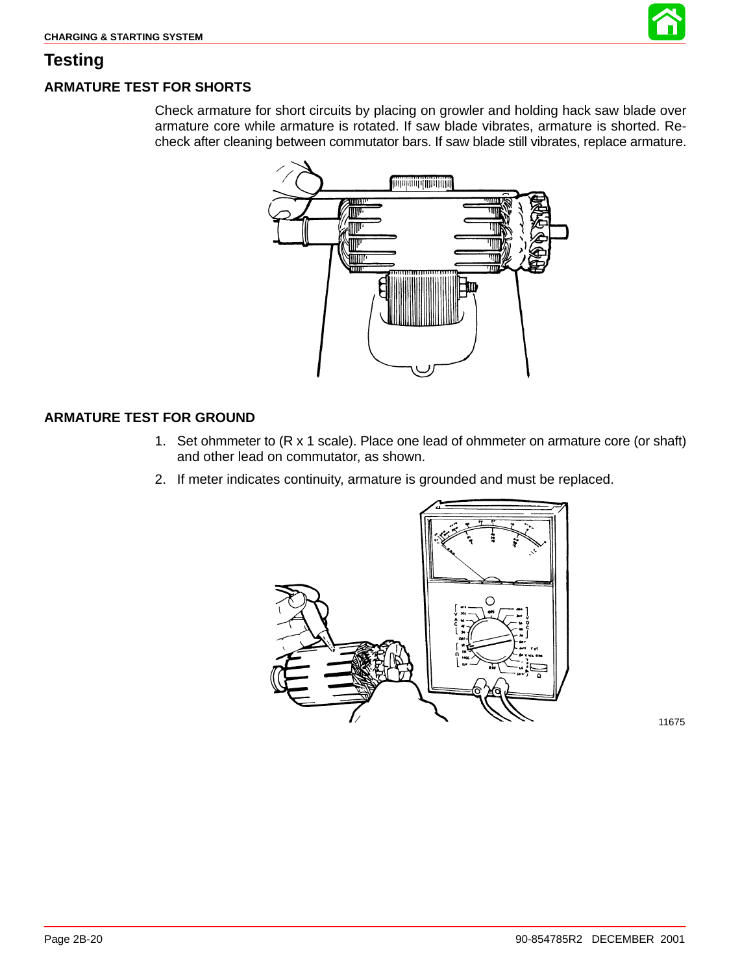

### **Testing**

### **ARMATURE TEST FOR SHORTS**

Check armature for short circuits by placing on growler and holding hack saw blade over armature core while armature is rotated. If saw blade vibrates, armature is shorted. Recheck after cleaning between commutator bars. If saw blade still vibrates, replace armature.



### **ARMATURE TEST FOR GROUND**

- 1. Set ohmmeter to (R x 1 scale). Place one lead of ohmmeter on armature core (or shaft) and other lead on commutator, as shown.
- 2. If meter indicates continuity, armature is grounded and must be replaced.

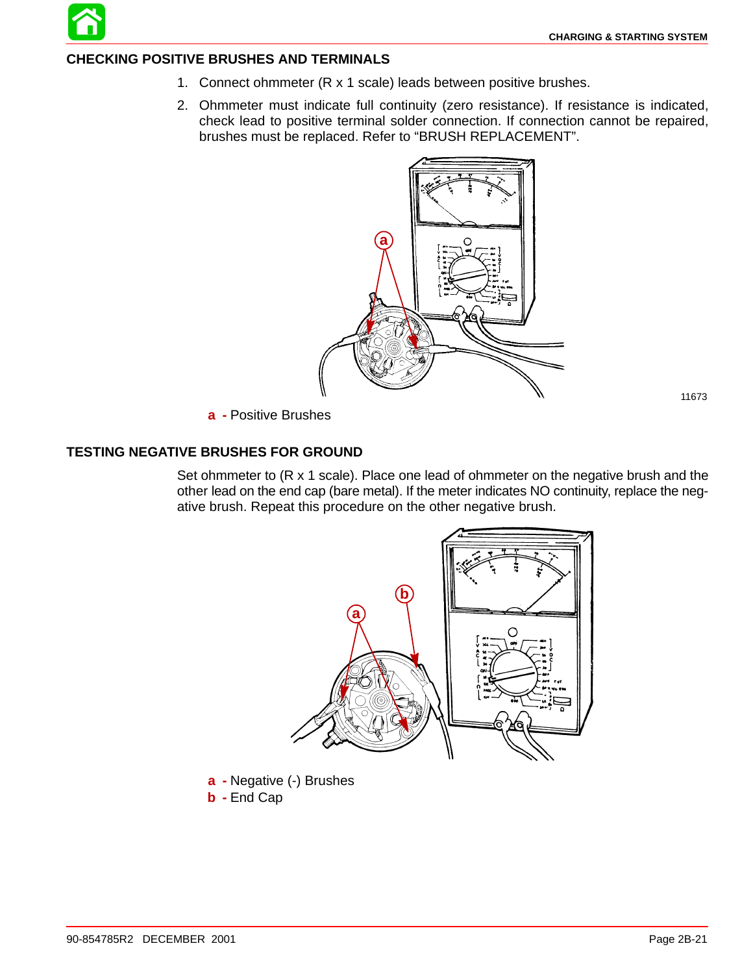

#### **CHECKING POSITIVE BRUSHES AND TERMINALS**

- 1. Connect ohmmeter (R x 1 scale) leads between positive brushes.
- 2. Ohmmeter must indicate full continuity (zero resistance). If resistance is indicated, check lead to positive terminal solder connection. If connection cannot be repaired, brushes must be replaced. Refer to "BRUSH REPLACEMENT".



**a -** Positive Brushes

#### **TESTING NEGATIVE BRUSHES FOR GROUND**

Set ohmmeter to (R x 1 scale). Place one lead of ohmmeter on the negative brush and the other lead on the end cap (bare metal). If the meter indicates NO continuity, replace the negative brush. Repeat this procedure on the other negative brush.



**b -** End Cap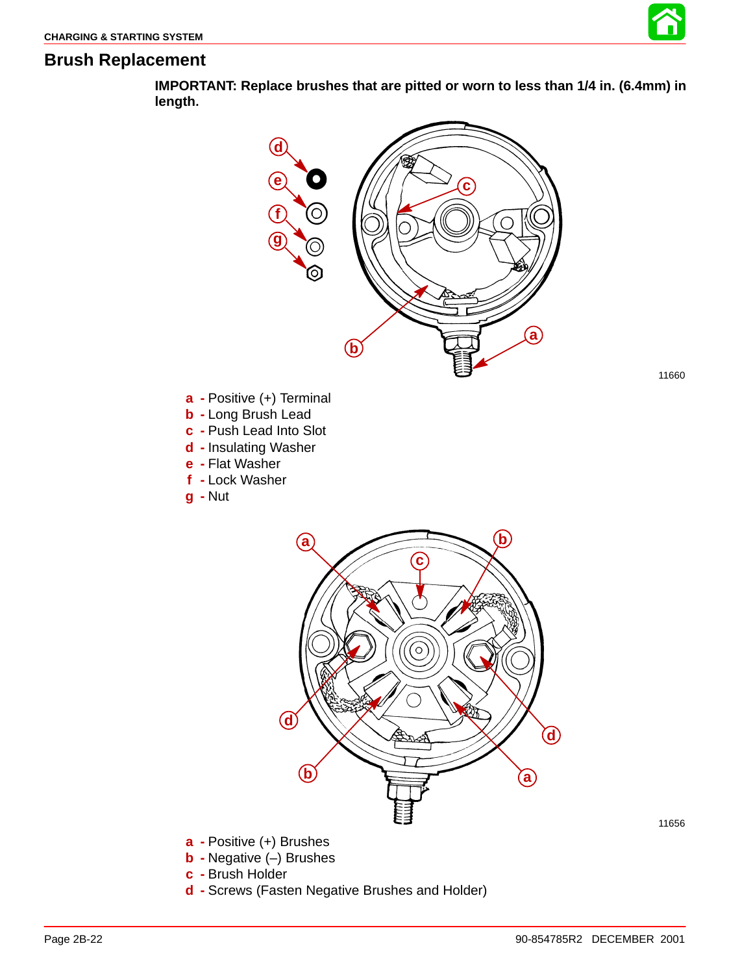

11660

### **Brush Replacement**

**IMPORTANT: Replace brushes that are pitted or worn to less than 1/4 in. (6.4mm) in length.**



- **b -** Negative (–) Brushes
- **c -** Brush Holder
- **d -** Screws (Fasten Negative Brushes and Holder)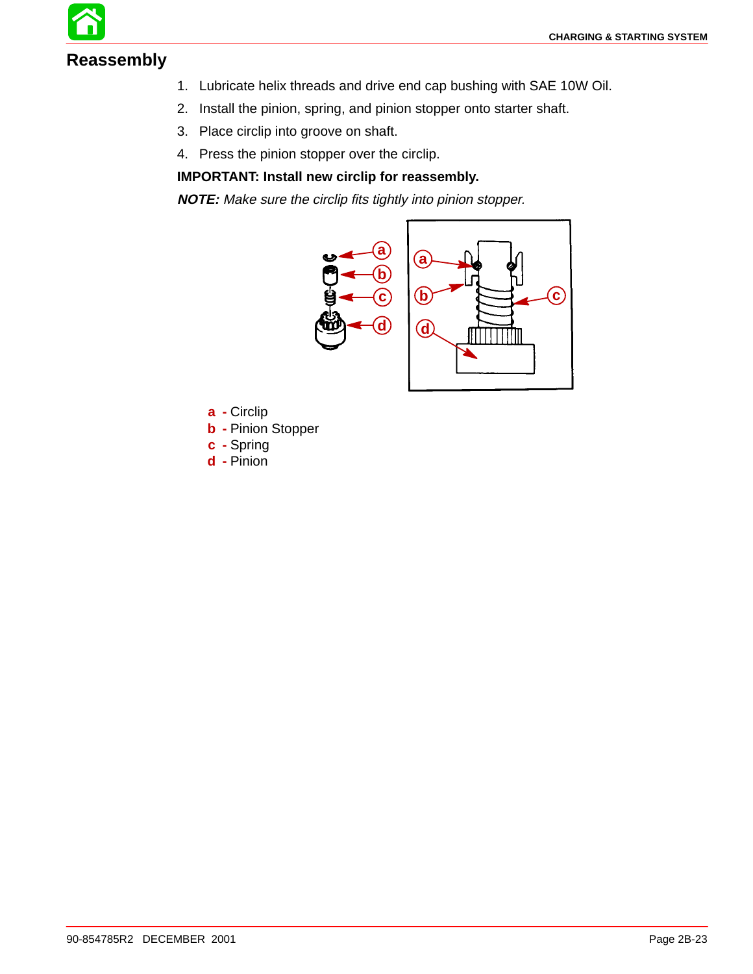## **Reassembly**

- 1. Lubricate helix threads and drive end cap bushing with SAE 10W Oil.
- 2. Install the pinion, spring, and pinion stopper onto starter shaft.
- 3. Place circlip into groove on shaft.
- 4. Press the pinion stopper over the circlip.

### **IMPORTANT: Install new circlip for reassembly.**

**NOTE:** Make sure the circlip fits tightly into pinion stopper.



- **a -** Circlip
- **b -** Pinion Stopper
- **c -** Spring
- **d -** Pinion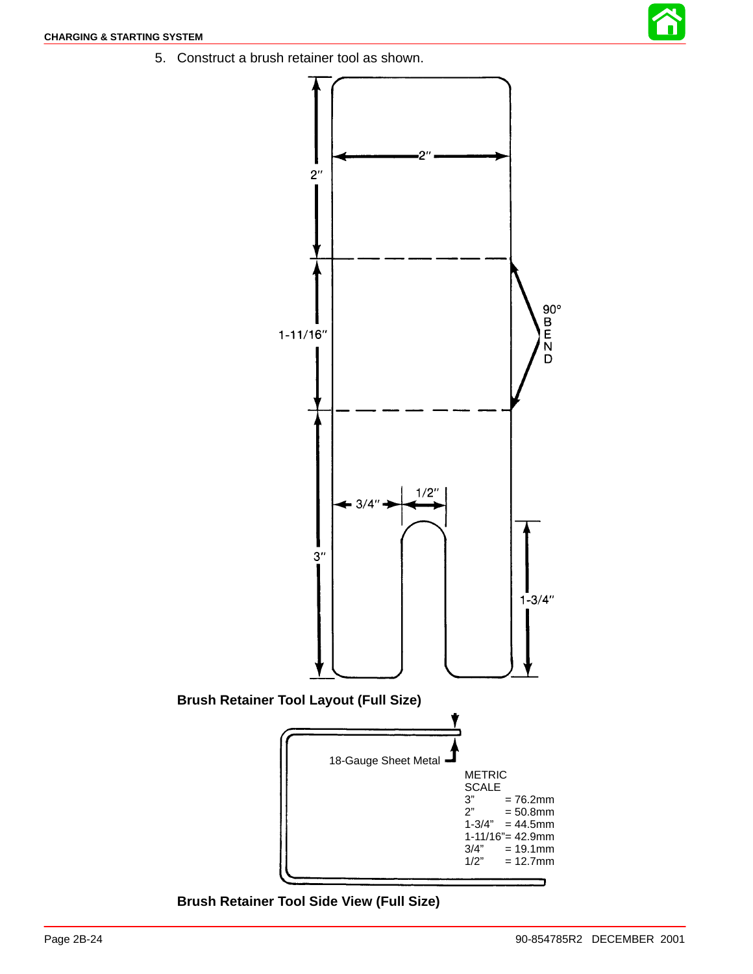5. Construct a brush retainer tool as shown.



**Brush Retainer Tool Side View (Full Size)**

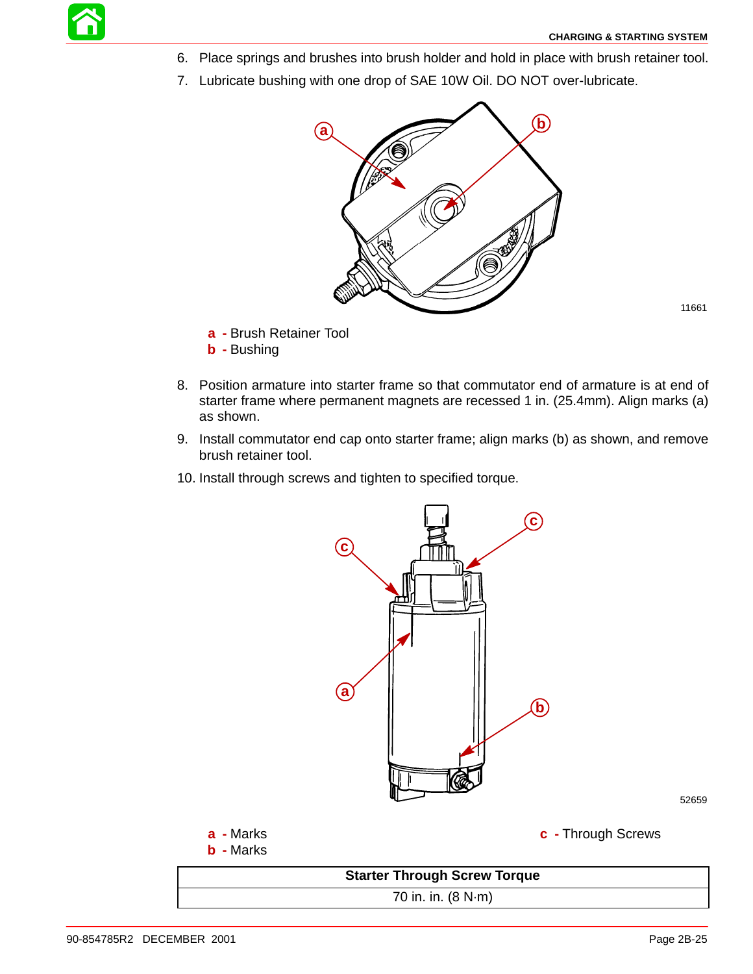- 6. Place springs and brushes into brush holder and hold in place with brush retainer tool.
- 7. Lubricate bushing with one drop of SAE 10W Oil. DO NOT over-lubricate.



- **a -** Brush Retainer Tool
- **b -** Bushing
- 8. Position armature into starter frame so that commutator end of armature is at end of starter frame where permanent magnets are recessed 1 in. (25.4mm). Align marks (a) as shown.
- 9. Install commutator end cap onto starter frame; align marks (b) as shown, and remove brush retainer tool.
- 10. Install through screws and tighten to specified torque.